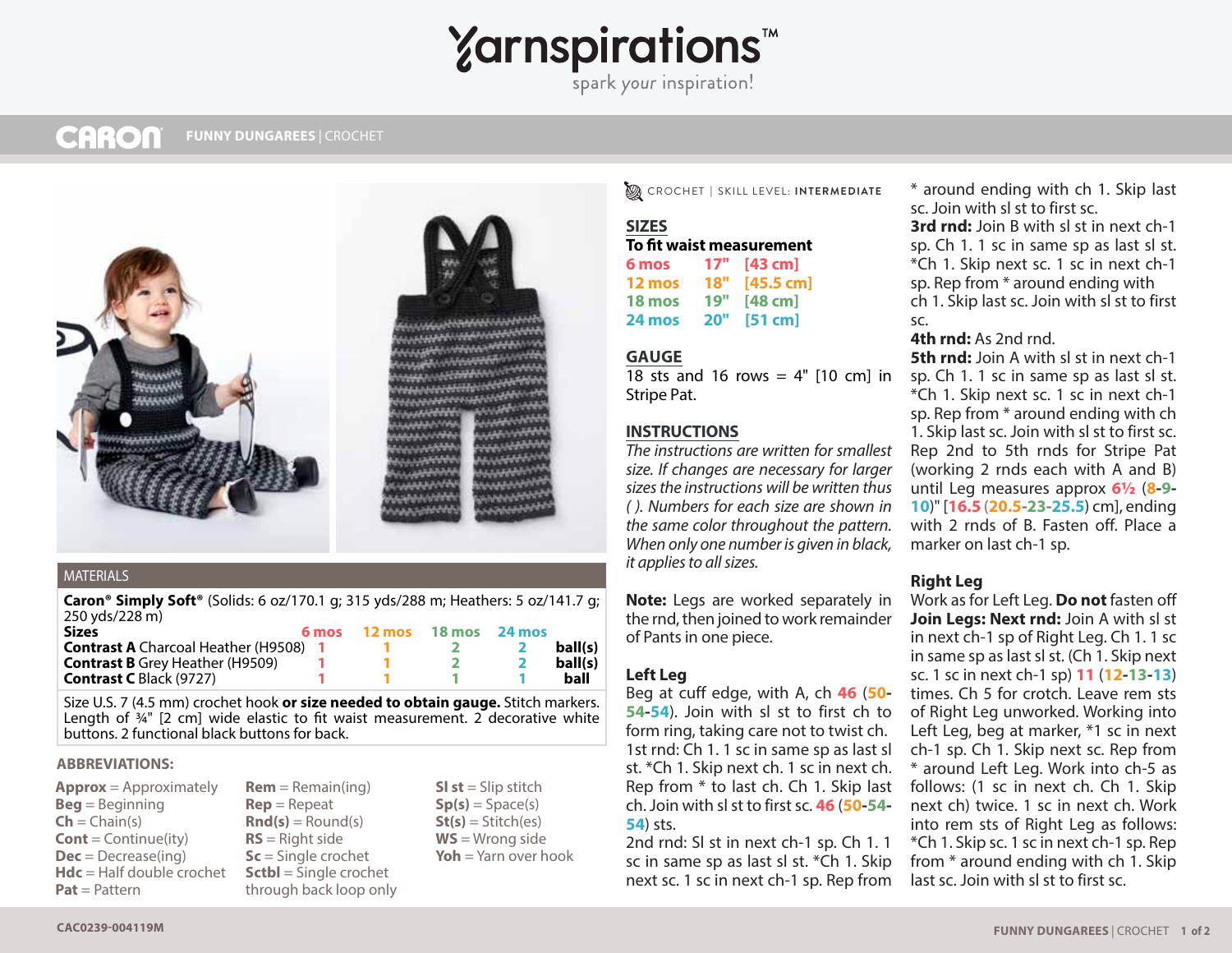# **Yarnspirations<sup>\*</sup>**

spark your inspiration!

#### **CARON HOT HIBISCUS TEA COZY** | CROCHET **FUNNY DUNGAREES** | CROCHET



#### MATERIALS

**Caron® Simply Soft®** (Solids: 6 oz/170.1 g; 315 yds/288 m; Heathers: 5 oz/141.7 g; 250 yds/228 m)

| <b>Sizes</b>                                 | 6 mos 12 mos 18 mos 24 mos |  |         |
|----------------------------------------------|----------------------------|--|---------|
| <b>Contrast A</b> Charcoal Heather (H9508) 1 |                            |  | ball(s) |
| <b>Contrast B</b> Grey Heather (H9509)       |                            |  | ball(s) |
| <b>Contrast C Black (9727)</b>               |                            |  | ball    |

Size U.S. 7 (4.5 mm) crochet hook **or size needed to obtain gauge.** Stitch markers. Length of  $\frac{3}{4}$ " [2 cm] wide elastic to fit waist measurement. 2 decorative white buttons. 2 functional black buttons for back.

#### **ABBREVIATIONS:**

**Approx** = Approximately **Beg** = Beginning  $Ch = Chain(s)$ **Cont** = Continue(ity) **Dec** = Decrease(ing) **Hdc** = Half double crochet **Pat** = Pattern

**Rem** = Remain(ing) **Rep** = Repeat  $\text{Rnd}(s) = \text{Round}(s)$ **RS** = Right side **Sc** = Single crochet **Sctbl** = Single crochet through back loop only **Sl st** = Slip stitch  $Sp(s) = Space(s)$ **St(s)** = Stitch(es) **WS** = Wrong side **Yoh** = Yarn over hook CROCHET **|** SKILL LEVEL: **INTERMEDIATE**

#### **SIZES To fit waist measurement**

| TV III WAISL MEASULEMENI |     |                     |  |  |
|--------------------------|-----|---------------------|--|--|
| 6 mos                    | 17" | $[43$ cm            |  |  |
| 12 mos                   | 18" | $[45.5 \text{ cm}]$ |  |  |
| 18 mos                   | 19" | $[48$ cm]           |  |  |
| 24 mos                   | 20" | [51 cm]             |  |  |
|                          |     |                     |  |  |

# **GAUGE**

18 sts and 16 rows  $=$  4" [10 cm] in Stripe Pat.

# **INSTRUCTIONS**

*The instructions are written for smallest size. If changes are necessary for larger sizes the instructions will be written thus ( ). Numbers for each size are shown in the same color throughout the pattern. When only one number is given in black, it applies to all sizes.*

**Note:** Legs are worked separately in the rnd, then joined to work remainder of Pants in one piece.

# **Left Leg**

Beg at cuff edge, with A, ch **46** (**50- 54-54**). Join with sl st to first ch to form ring, taking care not to twist ch. 1st rnd: Ch 1. 1 sc in same sp as last sl st. \*Ch 1. Skip next ch. 1 sc in next ch. Rep from \* to last ch. Ch 1. Skip last ch. Join with sl st to first sc. **46** (**50-54- 54**) sts.

2nd rnd: Sl st in next ch-1 sp. Ch 1. 1 sc in same sp as last sl st. \*Ch 1. Skip next sc. 1 sc in next ch-1 sp. Rep from

\* around ending with ch 1. Skip last sc. Join with sl st to first sc. **3rd rnd:** Join B with sl st in next ch-1 sp. Ch 1. 1 sc in same sp as last sl st. \*Ch 1. Skip next sc. 1 sc in next ch-1 sp. Rep from \* around ending with ch 1. Skip last sc. Join with sl st to first sc.

# **4th rnd:** As 2nd rnd.

**5th rnd:** Join A with sl st in next ch-1 sp. Ch 1. 1 sc in same sp as last sl st. \*Ch 1. Skip next sc. 1 sc in next ch-1 sp. Rep from \* around ending with ch 1. Skip last sc. Join with sl st to first sc. Rep 2nd to 5th rnds for Stripe Pat (working 2 rnds each with A and B) until Leg measures approx **6½** (**8-9- 10**)" [**16.5** (**20.5-23-25.5**) cm], ending with 2 rnds of B. Fasten off. Place a marker on last ch-1 sp.

# **Right Leg**

Work as for Left Leg. **Do not** fasten off **Join Legs: Next rnd:** Join A with sl st in next ch-1 sp of Right Leg. Ch 1. 1 sc in same sp as last sl st. (Ch 1. Skip next sc. 1 sc in next ch-1 sp) **11** (**12-13-13**) times. Ch 5 for crotch. Leave rem sts of Right Leg unworked. Working into Left Leg, beg at marker, \*1 sc in next ch-1 sp. Ch 1. Skip next sc. Rep from \* around Left Leg. Work into ch-5 as follows: (1 sc in next ch. Ch 1. Skip next ch) twice. 1 sc in next ch. Work into rem sts of Right Leg as follows: \*Ch 1. Skip sc. 1 sc in next ch-1 sp. Rep from \* around ending with ch 1. Skip last sc. Join with sl st to first sc.